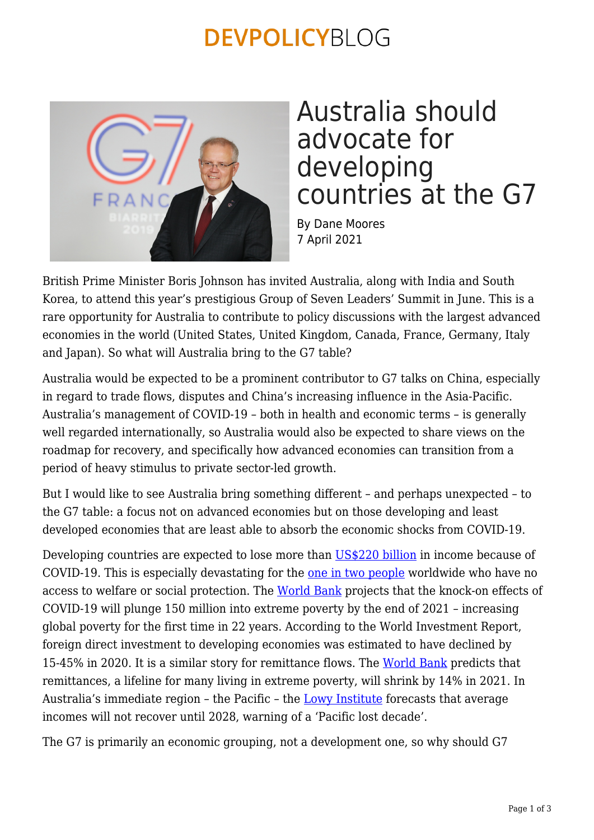### **DEVPOLICYBLOG**



### Australia should advocate for developing countries at the G7

By Dane Moores 7 April 2021

British Prime Minister Boris Johnson has invited Australia, along with India and South Korea, to attend this year's prestigious Group of Seven Leaders' Summit in June. This is a rare opportunity for Australia to contribute to policy discussions with the largest advanced economies in the world (United States, United Kingdom, Canada, France, Germany, Italy and Japan). So what will Australia bring to the G7 table?

Australia would be expected to be a prominent contributor to G7 talks on China, especially in regard to trade flows, disputes and China's increasing influence in the Asia-Pacific. Australia's management of COVID-19 – both in health and economic terms – is generally well regarded internationally, so Australia would also be expected to share views on the roadmap for recovery, and specifically how advanced economies can transition from a period of heavy stimulus to private sector-led growth.

But I would like to see Australia bring something different – and perhaps unexpected – to the G7 table: a focus not on advanced economies but on those developing and least developed economies that are least able to absorb the economic shocks from COVID-19.

Developing countries are expected to lose more than [US\\$220 billion](https://www.undp.org/content/undp/en/home/news-centre/news/2020/COVID19_Crisis_in_developing_countries_threatens_devastate_economies.html) in income because of COVID-19. This is especially devastating for the [one in two people](https://www.ilo.org/global/about-the-ilo/newsroom/news/WCMS_739678/lang--en/index.htm) worldwide who have no access to welfare or social protection. The [World Bank](https://www.worldbank.org/en/news/press-release/2020/10/07/covid-19-to-add-as-many-as-150-million-extreme-poor-by-2021#:~:text=The%20COVID%2D19%20pandemic%20is,severity%20of%20the%20economic%20contraction.) projects that the knock-on effects of COVID-19 will plunge 150 million into extreme poverty by the end of 2021 – increasing global poverty for the first time in 22 years. According to the World Investment Report, foreign direct investment to developing economies was estimated to have declined by 15-45% in 2020. It is a similar story for remittance flows. The [World Bank](https://www.worldbank.org/en/news/press-release/2020/10/29/covid-19-remittance-flows-to-shrink-14-by-2021) predicts that remittances, a lifeline for many living in extreme poverty, will shrink by 14% in 2021. In Australia's immediate region - the Pacific - the [Lowy Institute](https://www.lowyinstitute.org/publications/lost-decade-pacific) forecasts that average incomes will not recover until 2028, warning of a 'Pacific lost decade'.

The G7 is primarily an economic grouping, not a development one, so why should G7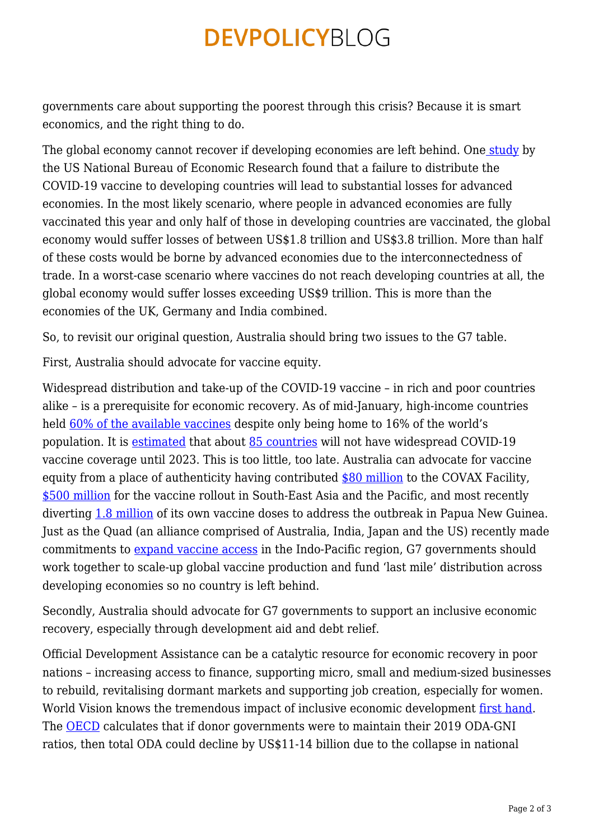## **DEVPOLICYBLOG**

governments care about supporting the poorest through this crisis? Because it is smart economics, and the right thing to do.

The global economy cannot recover if developing economies are left behind. One [study](https://www.nber.org/system/files/working_papers/w28395/w28395.pdf) by the US National Bureau of Economic Research found that a failure to distribute the COVID-19 vaccine to developing countries will lead to substantial losses for advanced economies. In the most likely scenario, where people in advanced economies are fully vaccinated this year and only half of those in developing countries are vaccinated, the global economy would suffer losses of between US\$1.8 trillion and US\$3.8 trillion. More than half of these costs would be borne by advanced economies due to the interconnectedness of trade. In a worst-case scenario where vaccines do not reach developing countries at all, the global economy would suffer losses exceeding US\$9 trillion. This is more than the economies of the UK, Germany and India combined.

So, to revisit our original question, Australia should bring two issues to the G7 table.

First, Australia should advocate for vaccine equity.

Widespread distribution and take-up of the COVID-19 vaccine – in rich and poor countries alike – is a prerequisite for economic recovery. As of mid-January, high-income countries held [60% of the available vaccines](https://globalhealth.duke.edu/news/ensuring-everyone-world-gets-covid-vaccine) despite only being home to 16% of the world's population. It is [estimated](https://www.eiu.com/n/85-poor-countries-will-not-have-access-to-coronavirus-vaccines/) that about [85 countries](https://www.eiu.com/n/85-poor-countries-will-not-have-access-to-coronavirus-vaccines/) will not have widespread COVID-19 vaccine coverage until 2023. This is too little, too late. Australia can advocate for vaccine equity from a place of authenticity having contributed [\\$80 million](https://indopacifichealthsecurity.dfat.gov.au/australia-promote-covid-19-vaccine-equity-developing-countries) to the COVAX Facility, [\\$500 million](https://www.pm.gov.au/media/investing-our-southeast-asian-partnerships) for the vaccine rollout in South-East Asia and the Pacific, and most recently diverting [1.8 million](https://www.pm.gov.au/media/australia-supporting-papua-new-guineas-covid-19-response) of its own vaccine doses to address the outbreak in Papua New Guinea. Just as the Quad (an alliance comprised of Australia, India, Japan and the US) recently made commitments to [expand vaccine access](https://www.abc.net.au/news/2021-03-13/quad-australia-us-india-japan-in-massive-covid-vaccine-deal/13245198) in the Indo-Pacific region, G7 governments should work together to scale-up global vaccine production and fund 'last mile' distribution across developing economies so no country is left behind.

Secondly, Australia should advocate for G7 governments to support an inclusive economic recovery, especially through development aid and debt relief.

Official Development Assistance can be a catalytic resource for economic recovery in poor nations – increasing access to finance, supporting micro, small and medium-sized businesses to rebuild, revitalising dormant markets and supporting job creation, especially for women. World Vision knows the tremendous impact of inclusive economic development [first hand.](https://www.worldvision.com.au/get-involved/partner-with-us/seed) The [OECD](http://www.oecd.org/coronavirus/policy-responses/the-impact-of-the-coronavirus-covid-19-crisis-on-development-finance-9de00b3b/) calculates that if donor governments were to maintain their 2019 ODA-GNI ratios, then total ODA could decline by US\$11-14 billion due to the collapse in national